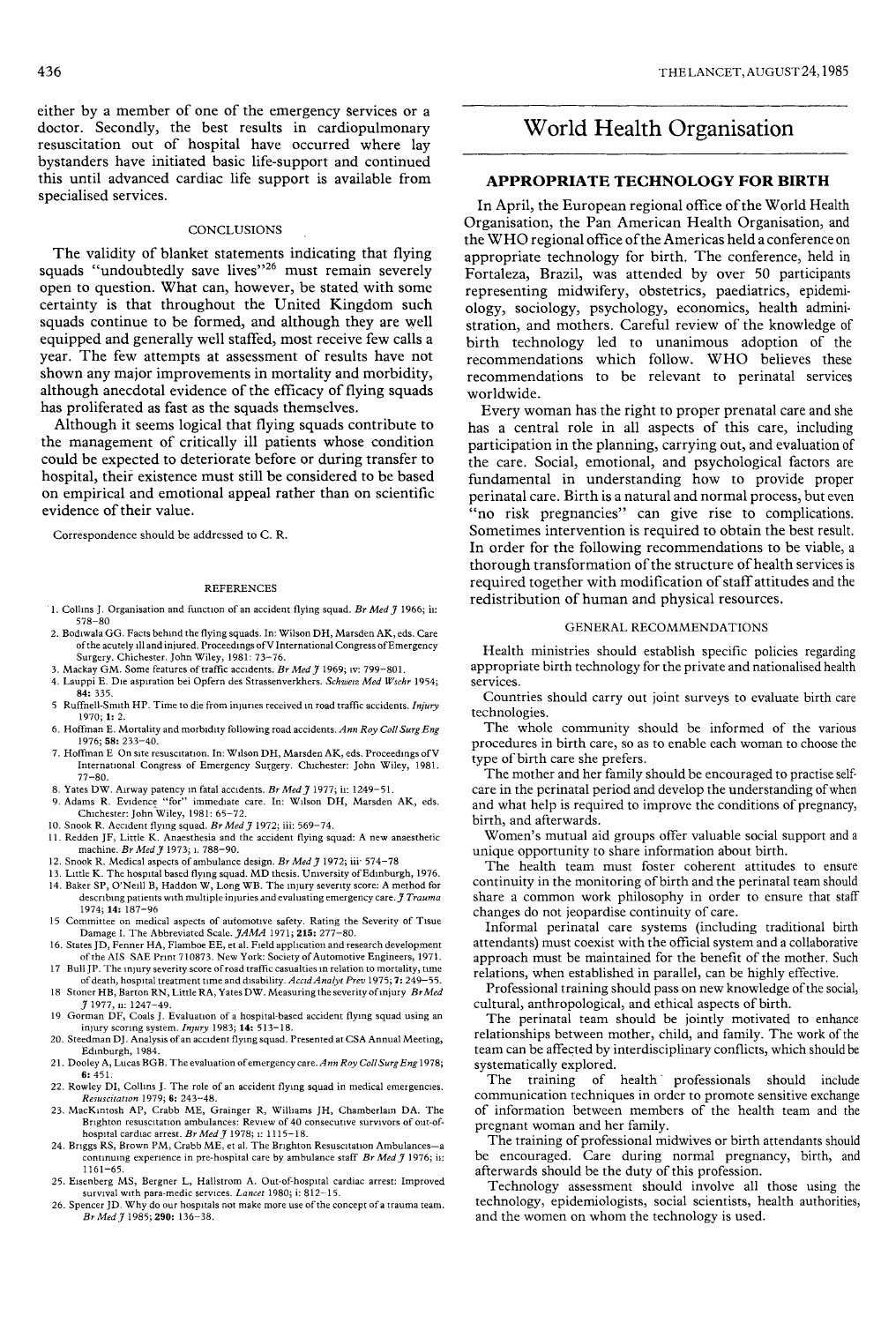either by a member of one of the emergency services or a doctor. Secondly, the best results in cardiopulmonary resuscitation out of hospital have occurred where lay bystanders have initiated basic life-support and continued this until advanced cardiac life support is available from specialised services.

#### **CONCLUSIONS**

The validity of blanket statements indicating that flying squads "undoubtedly save lives"<sup>26</sup> must remain severely open to question. What can, however, be stated with some certainty is that throughout the United Kingdom such squads continue to be formed, and although they are well equipped and generally well staffed, most receive few calls a year. The few attempts at assessment of results have not shown any major improvements in mortality and morbidity, although anecdotal evidence of the efficacy of flying squads has proliferated as fast as the squads themselves.

Although it seems logical that flying squads contribute to the management of critically ill patients whose condition could be expected to deteriorate before or during transfer to hospital, their existence must still be considered to be based on empirical and emotional appeal rather than on scientific evidence of their value.

Correspondence should be addressed to C. R.

#### REFERENCES

- 1. Collins J. Organisation and function of an accident flying squad. Br Med  $\widetilde{J}$  1966; ii: 578-80
- 2. Bodiwala GG. Facts behind the flying squads. In: Wilson DH, Marsden AK, eds. Care ofthe acutely ill and injured. Proceedings of V International Congress of Emergency Surgery. Chichester. John Wiley, 1981: 73-76.
- 3. Mackay GM. Some features of traffic accidents. Br Med  $\tilde{\jmath}$  1969; iv: 799-801.
- 4. Lauppi E. Die aspiration bei Opfern des Strassenverkhers. Schweiz Med Wschr 1954; 84: 335.
- 5 Ruffnell-Smith HP. Time to die from injuries received in road traffic accidents. Injury 1970; 1: 2.
- 6. Hoffman E. Mortality and morbidity following road accidents. Ann Roy Coll Surg Eng 1976; 58: 233-40.
- 7. Hoffman E On site resuscitation. In: Wilson DH, Marsden AK, eds. Proceedings of V International Congress of Emergency Surgery. Chichester: John Wiley, 1981. 77-80.
- 8. Yates DW. Airway patency in fatal accidents. Br Med  $\tilde{\jmath}$  1977; ii: 1249-51.
- 9. Adams R. Evidence "for" immediate care. In: Wilson DH, Marsden AK, eds. Chichester: John Wiley, 1981: 65-72.
- 10. Snook R. Accident flying squad. Br Med  $\tilde{\jmath}$  1972; iii: 569-74.
- 11. Redden JF, Little K. Anaesthesia and the accident flying squad: A new anaesthetic
- machine. *Br Med J* 1973; i. 788–90.<br>12. Snook R. Medical aspects of ambulance design. *Br Med J* 1972; iii<sup>.</sup> 574–78
- 13. Little K. The hospital based flying squad. MD thesis. University of Edinburgh, 1976. 14. Baker SP, O'Neill B, Haddon W, Long WB. The injury severity score: A method for describing patients with multiple injuries and evaluating emergency care.  $\hat{J}$  Trauma 1974; 14: 187-96
- 15 Committee on medical aspects of automotive safety. Rating the Severity of Tisue Damage I. The Abbreviated Scale. JAMA 1971; 215: 277-80.
- 16. States JD, Fenner HA, Flamboe EE, et al. Field application and research development of the AIS SAE Print 710873. New York: Society of Automotive Engineers, 1971.
- 17 Bull JP. The injury severity score of road traffic casualties in relation to mortality, time of death, hospital treatment time and disability. Accid Analyt Prev 1975; 7: 249 18 Stoner HB, Barton RN, Little RA, Yates DW. Measuring the severity of injury  $BrMed$ <br>  $\frac{\gamma}{2}$  1977, ii: 1247–49.
- 19 Gorman DF, Coals J. Evaluation of a hospital-based accident flying squad using an
- injury scoring system. Injury 1983; 14: 513-18. 20. Steedman DJ. Analysis of an accident flying squad. Presented at CSA Annual Meeting, Edinburgh, 1984.
- 21. Dooley A, Lucas BGB. The evaluation of emergency care. Ann Roy Coll Surg Eng 1978; 6: 451.
- 22. Rowley DI, Collins J. The role of an accident flying squad in medical emergencies. Resuscitation 1979; 6: 243-48.
- 23. MacKintosh AP, Crabb ME, Grainger R, Williams JH, Chamberlain DA. The Brighton resuscitation ambulances: Review of 40 consecutive survivors of out-ofhospital cardiac arrest. Br Med  $\tilde{\jmath}$  1978; i: 1115-18.
- 24. Briggs RS, Brown PM, Crabb ME, et al. The Brighton Resuscitation Ambulances-a continuing experience in pre-hospital care by ambulance staff  $Br Med J$  1976; ii: 1161-65.
- 25. Eisenberg MS, Bergner L, Hallstrom A. Out-of-hospital cardiac arrest: Improved survival with para-medic services. Lancet 1980; i: 812-15.
- 26. Spencer JD. Why do our hospitals not make more use of the concept of a trauma team. Br Med J 1985; 290: 136-38.

# World Health Organisation

## APPROPRIATE TECHNOLOGY FOR BIRTH

In April, the European regional office of the World Health Organisation, the Pan American Health Organisation, and the WHO regional office of the Americas held a conference on appropriate technology for birth. The conference, held in Fortaleza, Brazil, was attended by over 50 participants representing midwifery, obstetrics, paediatrics, epidemiology, sociology, psychology, economics, health administration, and mothers. Careful review of the knowledge of birth technology led to unanimous adoption of the recommendations which follow. WHO believes these recommendations to be relevant to perinatal services worldwide.

Every woman has the right to proper prenatal care and she has a central role in all aspects of this care, including participation in the planning, carrying out, and evaluation of the care. Social, emotional, and psychological factors are fundamental in understanding how to provide proper perinatal care. Birth is a natural and normal process, but even "no risk pregnancies" can give rise to complications. Sometimes intervention is required to obtain the best result. In order for the following recommendations to be viable, a thorough transformation of the structure of health services is required together with modification of staff attitudes and the redistribution of human and physical resources.

### GENERAL RECOMMENDATIONS

Health ministries should establish specific policies regarding appropriate birth technology for the private and nationalised health services.

Countries should carry out joint surveys to evaluate birth care technologies.

The whole community should be informed of the various procedures in birth care, so as to enable each woman to choose the type of birth care she prefers.

The mother and her family should be encouraged to practise selfcare in the perinatal period and develop the understanding of when and what help is required to improve the conditions of pregnancy, birth, and afterwards.

Women's mutual aid groups offer valuable social support and a unique opportunity to share information about birth.

The health team must foster coherent attitudes to ensure continuity in the monitoring of birth and the perinatal team should share a common work philosophy in order to ensure that staff changes do not jeopardise continuity of care.

Informal perinatal care systems (including traditional birth attendants) must coexist with the official system and a collaborative approach must be maintained for the benefit of the mother. Such relations, when established in parallel, can be highly effective.

Professional training should pass on new knowledge of the social, cultural, anthropological, and ethical aspects of birth.

The perinatal team should be jointly motivated to enhance relationships between mother, child, and family. The work of the team can be affected by interdisciplinary conflicts, which should be systematically explored.

The training of health' professionals should include communication techniques in order to promote sensitive exchange of information between members of the health team and the pregnant woman and her family.

The training of professional midwives or birth attendants should be encouraged. Care during normal pregnancy, birth, and afterwards should be the duty of this profession.

Technology assessment should involve all those using the technology, epidemiologists, social scientists, health authorities, and the women on whom the technology is used.